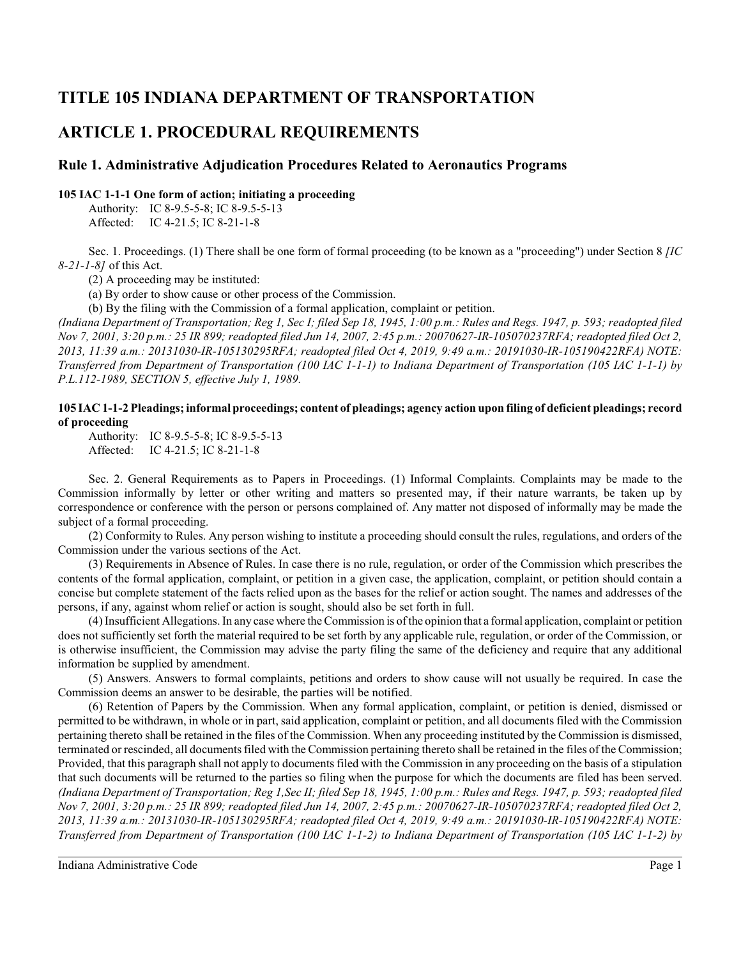# **TITLE 105 INDIANA DEPARTMENT OF TRANSPORTATION**

# **ARTICLE 1. PROCEDURAL REQUIREMENTS**

# **Rule 1. Administrative Adjudication Procedures Related to Aeronautics Programs**

### **105 IAC 1-1-1 One form of action; initiating a proceeding**

Authority: IC 8-9.5-5-8; IC 8-9.5-5-13 Affected: IC 4-21.5; IC 8-21-1-8

Sec. 1. Proceedings. (1) There shall be one form of formal proceeding (to be known as a "proceeding") under Section 8 *[IC 8-21-1-8]* of this Act.

(2) A proceeding may be instituted:

(a) By order to show cause or other process of the Commission.

(b) By the filing with the Commission of a formal application, complaint or petition.

*(Indiana Department of Transportation; Reg 1, Sec I; filed Sep 18, 1945, 1:00 p.m.: Rules and Regs. 1947, p. 593; readopted filed Nov 7, 2001, 3:20 p.m.: 25 IR 899; readopted filed Jun 14, 2007, 2:45 p.m.: 20070627-IR-105070237RFA; readopted filed Oct 2, 2013, 11:39 a.m.: 20131030-IR-105130295RFA; readopted filed Oct 4, 2019, 9:49 a.m.: 20191030-IR-105190422RFA) NOTE: Transferred from Department of Transportation (100 IAC 1-1-1) to Indiana Department of Transportation (105 IAC 1-1-1) by P.L.112-1989, SECTION 5, effective July 1, 1989.*

## **105 IAC 1-1-2 Pleadings; informal proceedings; content of pleadings; agency action upon filing of deficient pleadings; record of proceeding**

Authority: IC 8-9.5-5-8; IC 8-9.5-5-13 Affected: IC 4-21.5; IC 8-21-1-8

Sec. 2. General Requirements as to Papers in Proceedings. (1) Informal Complaints. Complaints may be made to the Commission informally by letter or other writing and matters so presented may, if their nature warrants, be taken up by correspondence or conference with the person or persons complained of. Any matter not disposed of informally may be made the subject of a formal proceeding.

(2) Conformity to Rules. Any person wishing to institute a proceeding should consult the rules, regulations, and orders of the Commission under the various sections of the Act.

(3) Requirements in Absence of Rules. In case there is no rule, regulation, or order of the Commission which prescribes the contents of the formal application, complaint, or petition in a given case, the application, complaint, or petition should contain a concise but complete statement of the facts relied upon as the bases for the relief or action sought. The names and addresses of the persons, if any, against whom relief or action is sought, should also be set forth in full.

(4) Insufficient Allegations. In any case where the Commission is of the opinion that a formal application, complaint or petition does not sufficiently set forth the material required to be set forth by any applicable rule, regulation, or order of the Commission, or is otherwise insufficient, the Commission may advise the party filing the same of the deficiency and require that any additional information be supplied by amendment.

(5) Answers. Answers to formal complaints, petitions and orders to show cause will not usually be required. In case the Commission deems an answer to be desirable, the parties will be notified.

(6) Retention of Papers by the Commission. When any formal application, complaint, or petition is denied, dismissed or permitted to be withdrawn, in whole or in part, said application, complaint or petition, and all documents filed with the Commission pertaining thereto shall be retained in the files of the Commission. When any proceeding instituted by the Commission is dismissed, terminated or rescinded, all documents filed with the Commission pertaining thereto shall be retained in the files of the Commission; Provided, that this paragraph shall not apply to documents filed with the Commission in any proceeding on the basis of a stipulation that such documents will be returned to the parties so filing when the purpose for which the documents are filed has been served. *(Indiana Department of Transportation; Reg 1,Sec II; filed Sep 18, 1945, 1:00 p.m.: Rules and Regs. 1947, p. 593; readopted filed Nov 7, 2001, 3:20 p.m.: 25 IR 899; readopted filed Jun 14, 2007, 2:45 p.m.: 20070627-IR-105070237RFA; readopted filed Oct 2, 2013, 11:39 a.m.: 20131030-IR-105130295RFA; readopted filed Oct 4, 2019, 9:49 a.m.: 20191030-IR-105190422RFA) NOTE: Transferred from Department of Transportation (100 IAC 1-1-2) to Indiana Department of Transportation (105 IAC 1-1-2) by*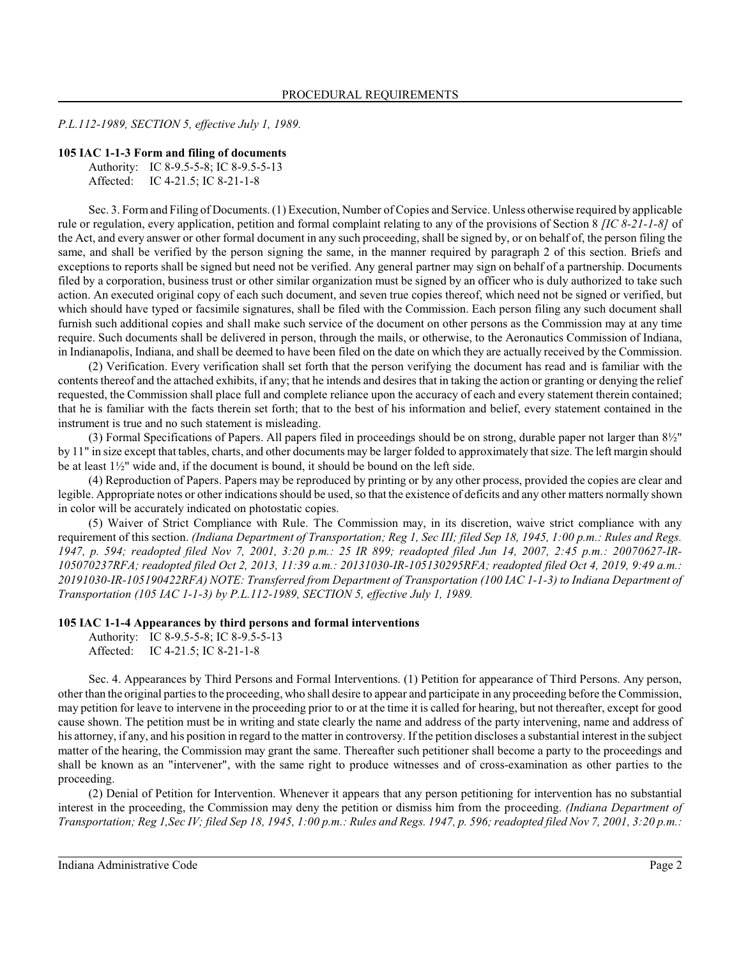*P.L.112-1989, SECTION 5, effective July 1, 1989.*

#### **105 IAC 1-1-3 Form and filing of documents**

Authority: IC 8-9.5-5-8; IC 8-9.5-5-13 Affected: IC 4-21.5; IC 8-21-1-8

Sec. 3. Form and Filing of Documents. (1) Execution, Number of Copies and Service. Unless otherwise required by applicable rule or regulation, every application, petition and formal complaint relating to any of the provisions of Section 8 *[IC 8-21-1-8]* of the Act, and every answer or other formal document in any such proceeding, shall be signed by, or on behalf of, the person filing the same, and shall be verified by the person signing the same, in the manner required by paragraph 2 of this section. Briefs and exceptions to reports shall be signed but need not be verified. Any general partner may sign on behalf of a partnership. Documents filed by a corporation, business trust or other similar organization must be signed by an officer who is duly authorized to take such action. An executed original copy of each such document, and seven true copies thereof, which need not be signed or verified, but which should have typed or facsimile signatures, shall be filed with the Commission. Each person filing any such document shall furnish such additional copies and shall make such service of the document on other persons as the Commission may at any time require. Such documents shall be delivered in person, through the mails, or otherwise, to the Aeronautics Commission of Indiana, in Indianapolis, Indiana, and shall be deemed to have been filed on the date on which they are actually received by the Commission.

(2) Verification. Every verification shall set forth that the person verifying the document has read and is familiar with the contents thereof and the attached exhibits, if any; that he intends and desires that in taking the action or granting or denying the relief requested, the Commission shall place full and complete reliance upon the accuracy of each and every statement therein contained; that he is familiar with the facts therein set forth; that to the best of his information and belief, every statement contained in the instrument is true and no such statement is misleading.

(3) Formal Specifications of Papers. All papers filed in proceedings should be on strong, durable paper not larger than 8½" by 11" in size except that tables, charts, and other documents may be larger folded to approximately that size. The left margin should be at least  $1\frac{1}{2}$ " wide and, if the document is bound, it should be bound on the left side.

(4) Reproduction of Papers. Papers may be reproduced by printing or by any other process, provided the copies are clear and legible. Appropriate notes or other indications should be used, so that the existence of deficits and any other matters normally shown in color will be accurately indicated on photostatic copies.

(5) Waiver of Strict Compliance with Rule. The Commission may, in its discretion, waive strict compliance with any requirement of this section. *(Indiana Department of Transportation; Reg 1, Sec III; filed Sep 18, 1945, 1:00 p.m.: Rules and Regs. 1947, p. 594; readopted filed Nov 7, 2001, 3:20 p.m.: 25 IR 899; readopted filed Jun 14, 2007, 2:45 p.m.: 20070627-IR-105070237RFA; readopted filed Oct 2, 2013, 11:39 a.m.: 20131030-IR-105130295RFA; readopted filed Oct 4, 2019, 9:49 a.m.: 20191030-IR-105190422RFA) NOTE: Transferred from Department of Transportation (100 IAC 1-1-3) to Indiana Department of Transportation (105 IAC 1-1-3) by P.L.112-1989, SECTION 5, effective July 1, 1989.*

#### **105 IAC 1-1-4 Appearances by third persons and formal interventions**

Authority: IC 8-9.5-5-8; IC 8-9.5-5-13

Affected: IC 4-21.5; IC 8-21-1-8

Sec. 4. Appearances by Third Persons and Formal Interventions. (1) Petition for appearance of Third Persons. Any person, other than the original parties to the proceeding, who shall desire to appear and participate in any proceeding before the Commission, may petition for leave to intervene in the proceeding prior to or at the time it is called for hearing, but not thereafter, except for good cause shown. The petition must be in writing and state clearly the name and address of the party intervening, name and address of his attorney, if any, and his position in regard to the matter in controversy. If the petition discloses a substantial interest in the subject matter of the hearing, the Commission may grant the same. Thereafter such petitioner shall become a party to the proceedings and shall be known as an "intervener", with the same right to produce witnesses and of cross-examination as other parties to the proceeding.

(2) Denial of Petition for Intervention. Whenever it appears that any person petitioning for intervention has no substantial interest in the proceeding, the Commission may deny the petition or dismiss him from the proceeding. *(Indiana Department of Transportation; Reg 1,Sec IV; filed Sep 18, 1945, 1:00 p.m.: Rules and Regs. 1947, p. 596; readopted filed Nov 7, 2001, 3:20 p.m.:*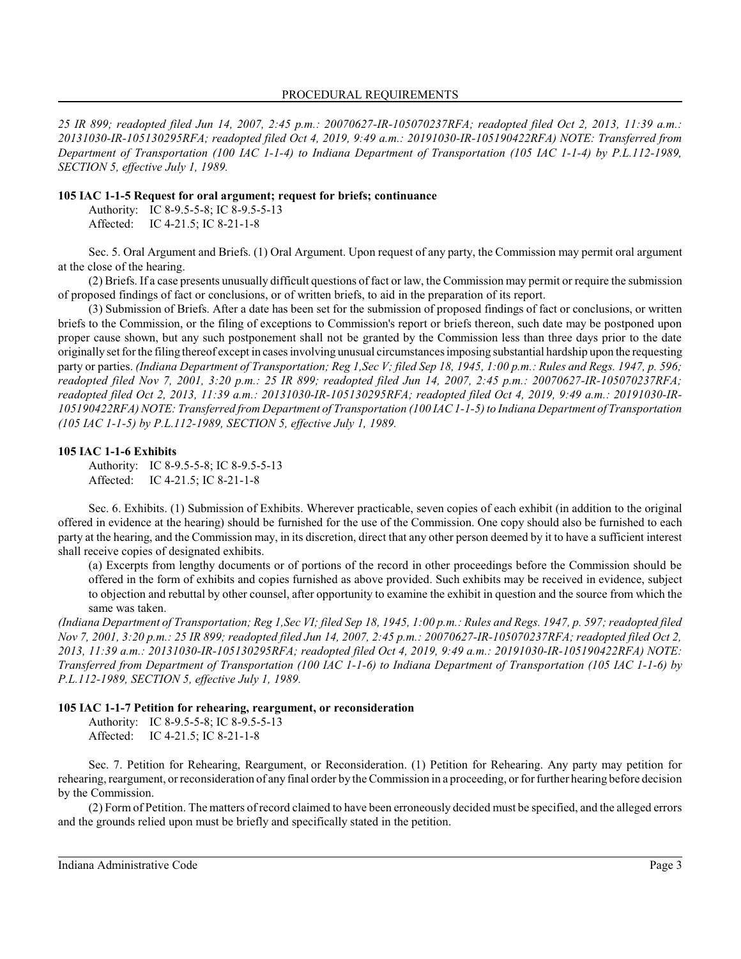*25 IR 899; readopted filed Jun 14, 2007, 2:45 p.m.: 20070627-IR-105070237RFA; readopted filed Oct 2, 2013, 11:39 a.m.: 20131030-IR-105130295RFA; readopted filed Oct 4, 2019, 9:49 a.m.: 20191030-IR-105190422RFA) NOTE: Transferred from Department of Transportation (100 IAC 1-1-4) to Indiana Department of Transportation (105 IAC 1-1-4) by P.L.112-1989, SECTION 5, effective July 1, 1989.*

#### **105 IAC 1-1-5 Request for oral argument; request for briefs; continuance**

Authority: IC 8-9.5-5-8; IC 8-9.5-5-13 Affected: IC 4-21.5; IC 8-21-1-8

Sec. 5. Oral Argument and Briefs. (1) Oral Argument. Upon request of any party, the Commission may permit oral argument at the close of the hearing.

(2) Briefs. If a case presents unusually difficult questions of fact or law, the Commission may permit or require the submission of proposed findings of fact or conclusions, or of written briefs, to aid in the preparation of its report.

(3) Submission of Briefs. After a date has been set for the submission of proposed findings of fact or conclusions, or written briefs to the Commission, or the filing of exceptions to Commission's report or briefs thereon, such date may be postponed upon proper cause shown, but any such postponement shall not be granted by the Commission less than three days prior to the date originally set for the filing thereof except in cases involving unusual circumstances imposing substantial hardship upon the requesting party or parties. *(Indiana Department of Transportation; Reg 1,Sec V; filed Sep 18, 1945, 1:00 p.m.: Rules and Regs. 1947, p. 596; readopted filed Nov 7, 2001, 3:20 p.m.: 25 IR 899; readopted filed Jun 14, 2007, 2:45 p.m.: 20070627-IR-105070237RFA; readopted filed Oct 2, 2013, 11:39 a.m.: 20131030-IR-105130295RFA; readopted filed Oct 4, 2019, 9:49 a.m.: 20191030-IR-105190422RFA) NOTE: Transferred from Department of Transportation (100 IAC 1-1-5) to Indiana Department of Transportation (105 IAC 1-1-5) by P.L.112-1989, SECTION 5, effective July 1, 1989.*

#### **105 IAC 1-1-6 Exhibits**

Authority: IC 8-9.5-5-8; IC 8-9.5-5-13 Affected: IC 4-21.5; IC 8-21-1-8

Sec. 6. Exhibits. (1) Submission of Exhibits. Wherever practicable, seven copies of each exhibit (in addition to the original offered in evidence at the hearing) should be furnished for the use of the Commission. One copy should also be furnished to each party at the hearing, and the Commission may, in its discretion, direct that any other person deemed by it to have a sufficient interest shall receive copies of designated exhibits.

(a) Excerpts from lengthy documents or of portions of the record in other proceedings before the Commission should be offered in the form of exhibits and copies furnished as above provided. Such exhibits may be received in evidence, subject to objection and rebuttal by other counsel, after opportunity to examine the exhibit in question and the source from which the same was taken.

*(Indiana Department of Transportation; Reg 1,Sec VI; filed Sep 18, 1945, 1:00 p.m.: Rules and Regs. 1947, p. 597; readopted filed Nov 7, 2001, 3:20 p.m.: 25 IR 899; readopted filed Jun 14, 2007, 2:45 p.m.: 20070627-IR-105070237RFA; readopted filed Oct 2, 2013, 11:39 a.m.: 20131030-IR-105130295RFA; readopted filed Oct 4, 2019, 9:49 a.m.: 20191030-IR-105190422RFA) NOTE: Transferred from Department of Transportation (100 IAC 1-1-6) to Indiana Department of Transportation (105 IAC 1-1-6) by P.L.112-1989, SECTION 5, effective July 1, 1989.*

## **105 IAC 1-1-7 Petition for rehearing, reargument, or reconsideration**

Authority: IC 8-9.5-5-8; IC 8-9.5-5-13 Affected: IC 4-21.5; IC 8-21-1-8

Sec. 7. Petition for Rehearing, Reargument, or Reconsideration. (1) Petition for Rehearing. Any party may petition for rehearing, reargument, or reconsideration of any final order by the Commission in a proceeding, or for further hearing before decision

(2) Form of Petition. The matters of record claimed to have been erroneously decided must be specified, and the alleged errors and the grounds relied upon must be briefly and specifically stated in the petition.

Indiana Administrative Code Page 3

by the Commission.